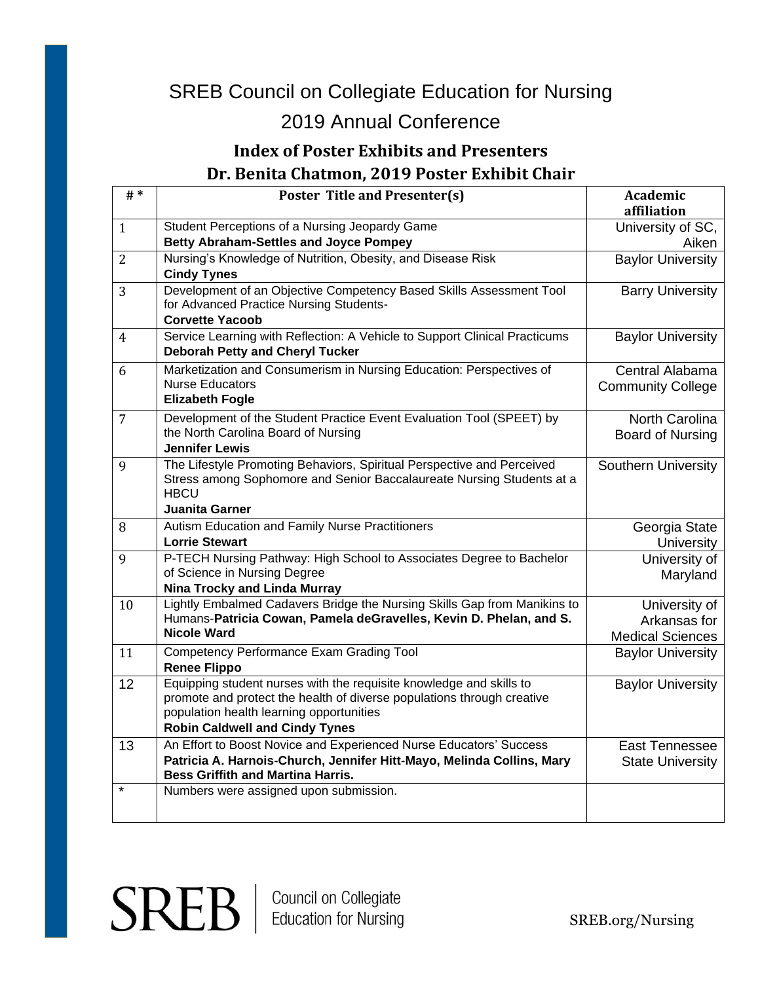## 2019 Annual Conference

#### **Index of Poster Exhibits and Presenters Dr. Benita Chatmon, 2019 Poster Exhibit Chair**

| # $*$          | <b>Poster Title and Presenter(s)</b>                                                                                                                                                                                               | Academic<br>affiliation                                  |
|----------------|------------------------------------------------------------------------------------------------------------------------------------------------------------------------------------------------------------------------------------|----------------------------------------------------------|
| $\mathbf{1}$   | Student Perceptions of a Nursing Jeopardy Game                                                                                                                                                                                     | University of SC,                                        |
|                | <b>Betty Abraham-Settles and Joyce Pompey</b>                                                                                                                                                                                      | Aiken                                                    |
| $\overline{2}$ | Nursing's Knowledge of Nutrition, Obesity, and Disease Risk<br><b>Cindy Tynes</b>                                                                                                                                                  | <b>Baylor University</b>                                 |
| 3              | Development of an Objective Competency Based Skills Assessment Tool<br>for Advanced Practice Nursing Students-<br><b>Corvette Yacoob</b>                                                                                           | <b>Barry University</b>                                  |
| 4              | Service Learning with Reflection: A Vehicle to Support Clinical Practicums<br><b>Deborah Petty and Cheryl Tucker</b>                                                                                                               | <b>Baylor University</b>                                 |
| 6              | Marketization and Consumerism in Nursing Education: Perspectives of<br><b>Nurse Educators</b><br><b>Elizabeth Fogle</b>                                                                                                            | Central Alabama<br><b>Community College</b>              |
| $\overline{7}$ | Development of the Student Practice Event Evaluation Tool (SPEET) by<br>the North Carolina Board of Nursing<br><b>Jennifer Lewis</b>                                                                                               | North Carolina<br>Board of Nursing                       |
| 9              | The Lifestyle Promoting Behaviors, Spiritual Perspective and Perceived<br>Stress among Sophomore and Senior Baccalaureate Nursing Students at a<br><b>HBCU</b><br>Juanita Garner                                                   | <b>Southern University</b>                               |
| 8              | Autism Education and Family Nurse Practitioners<br><b>Lorrie Stewart</b>                                                                                                                                                           | Georgia State<br><b>University</b>                       |
| 9              | P-TECH Nursing Pathway: High School to Associates Degree to Bachelor<br>of Science in Nursing Degree<br><b>Nina Trocky and Linda Murray</b>                                                                                        | University of<br>Maryland                                |
| 10             | Lightly Embalmed Cadavers Bridge the Nursing Skills Gap from Manikins to<br>Humans-Patricia Cowan, Pamela deGravelles, Kevin D. Phelan, and S.<br><b>Nicole Ward</b>                                                               | University of<br>Arkansas for<br><b>Medical Sciences</b> |
| 11             | Competency Performance Exam Grading Tool<br><b>Renee Flippo</b>                                                                                                                                                                    | <b>Baylor University</b>                                 |
| 12             | Equipping student nurses with the requisite knowledge and skills to<br>promote and protect the health of diverse populations through creative<br>population health learning opportunities<br><b>Robin Caldwell and Cindy Tynes</b> | <b>Baylor University</b>                                 |
| 13             | An Effort to Boost Novice and Experienced Nurse Educators' Success<br>Patricia A. Harnois-Church, Jennifer Hitt-Mayo, Melinda Collins, Mary<br><b>Bess Griffith and Martina Harris.</b>                                            | East Tennessee<br><b>State University</b>                |
| $\star$        | Numbers were assigned upon submission.                                                                                                                                                                                             |                                                          |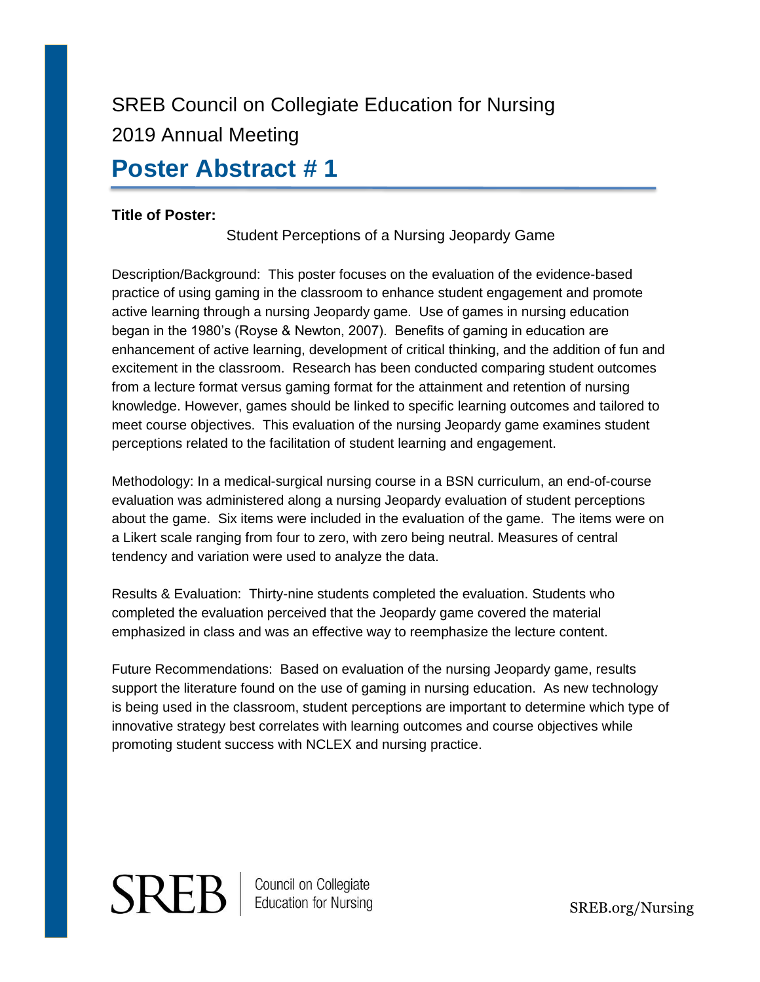## **Poster Abstract # 1**

#### **Title of Poster:**

Student Perceptions of a Nursing Jeopardy Game

Description/Background: This poster focuses on the evaluation of the evidence-based practice of using gaming in the classroom to enhance student engagement and promote active learning through a nursing Jeopardy game. Use of games in nursing education began in the 1980's (Royse & Newton, 2007). Benefits of gaming in education are enhancement of active learning, development of critical thinking, and the addition of fun and excitement in the classroom. Research has been conducted comparing student outcomes from a lecture format versus gaming format for the attainment and retention of nursing knowledge. However, games should be linked to specific learning outcomes and tailored to meet course objectives. This evaluation of the nursing Jeopardy game examines student perceptions related to the facilitation of student learning and engagement.

Methodology: In a medical-surgical nursing course in a BSN curriculum, an end-of-course evaluation was administered along a nursing Jeopardy evaluation of student perceptions about the game. Six items were included in the evaluation of the game. The items were on a Likert scale ranging from four to zero, with zero being neutral. Measures of central tendency and variation were used to analyze the data.

Results & Evaluation: Thirty-nine students completed the evaluation. Students who completed the evaluation perceived that the Jeopardy game covered the material emphasized in class and was an effective way to reemphasize the lecture content.

Future Recommendations: Based on evaluation of the nursing Jeopardy game, results support the literature found on the use of gaming in nursing education. As new technology is being used in the classroom, student perceptions are important to determine which type of innovative strategy best correlates with learning outcomes and course objectives while promoting student success with NCLEX and nursing practice.

# **SREB** | Council on Collegiate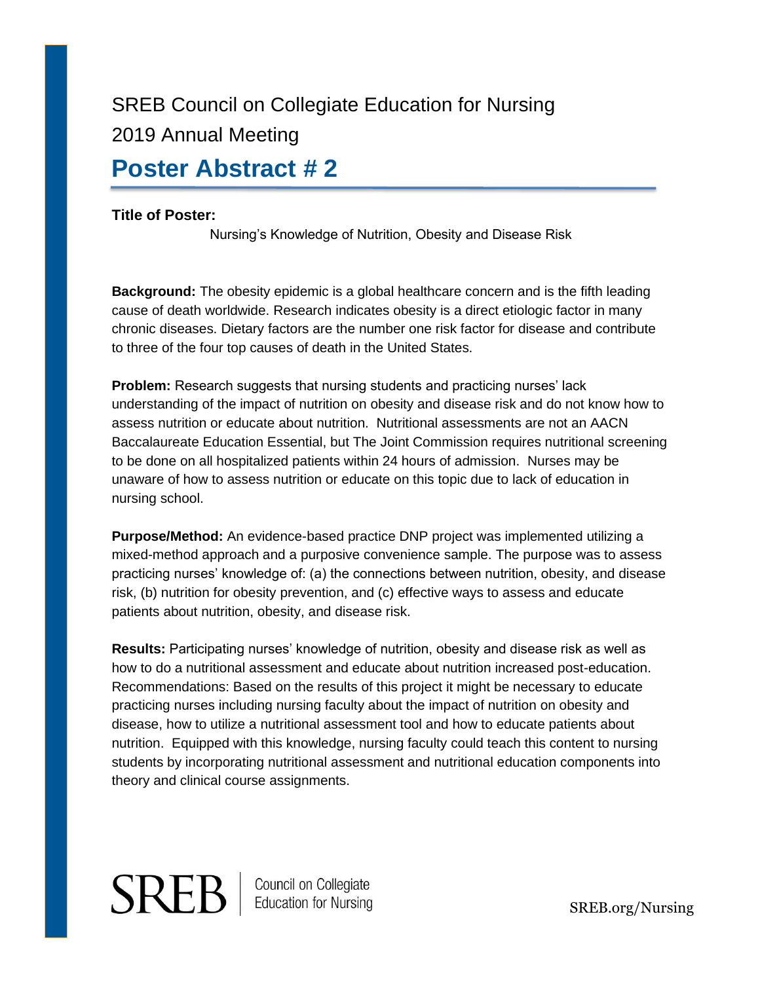## **Poster Abstract # 2**

#### **Title of Poster:**

Nursing's Knowledge of Nutrition, Obesity and Disease Risk

**Background:** The obesity epidemic is a global healthcare concern and is the fifth leading cause of death worldwide. Research indicates obesity is a direct etiologic factor in many chronic diseases. Dietary factors are the number one risk factor for disease and contribute to three of the four top causes of death in the United States.

**Problem:** Research suggests that nursing students and practicing nurses' lack understanding of the impact of nutrition on obesity and disease risk and do not know how to assess nutrition or educate about nutrition. Nutritional assessments are not an AACN Baccalaureate Education Essential, but The Joint Commission requires nutritional screening to be done on all hospitalized patients within 24 hours of admission. Nurses may be unaware of how to assess nutrition or educate on this topic due to lack of education in nursing school.

**Purpose/Method:** An evidence-based practice DNP project was implemented utilizing a mixed-method approach and a purposive convenience sample. The purpose was to assess practicing nurses' knowledge of: (a) the connections between nutrition, obesity, and disease risk, (b) nutrition for obesity prevention, and (c) effective ways to assess and educate patients about nutrition, obesity, and disease risk.

**Results:** Participating nurses' knowledge of nutrition, obesity and disease risk as well as how to do a nutritional assessment and educate about nutrition increased post-education. Recommendations: Based on the results of this project it might be necessary to educate practicing nurses including nursing faculty about the impact of nutrition on obesity and disease, how to utilize a nutritional assessment tool and how to educate patients about nutrition. Equipped with this knowledge, nursing faculty could teach this content to nursing students by incorporating nutritional assessment and nutritional education components into theory and clinical course assignments.

# **SREB** | Council on Collegiate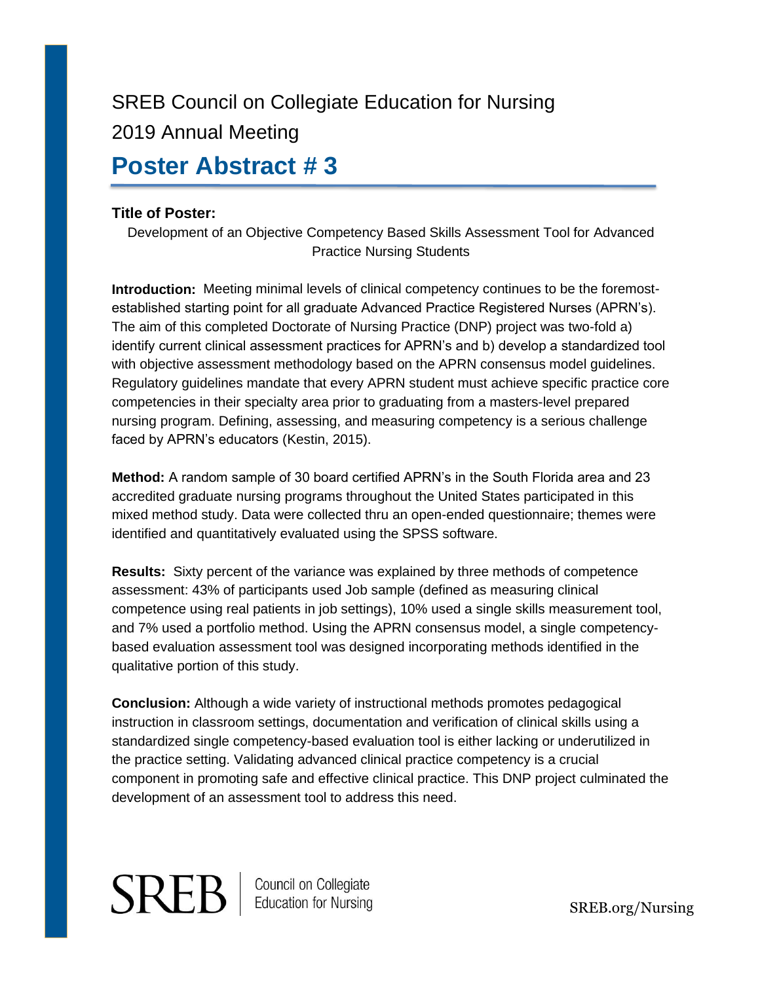## **Poster Abstract # 3**

#### **Title of Poster:**

Development of an Objective Competency Based Skills Assessment Tool for Advanced Practice Nursing Students

**Introduction:** Meeting minimal levels of clinical competency continues to be the foremostestablished starting point for all graduate Advanced Practice Registered Nurses (APRN's). The aim of this completed Doctorate of Nursing Practice (DNP) project was two-fold a) identify current clinical assessment practices for APRN's and b) develop a standardized tool with objective assessment methodology based on the APRN consensus model guidelines. Regulatory guidelines mandate that every APRN student must achieve specific practice core competencies in their specialty area prior to graduating from a masters-level prepared nursing program. Defining, assessing, and measuring competency is a serious challenge faced by APRN's educators (Kestin, 2015).

**Method:** A random sample of 30 board certified APRN's in the South Florida area and 23 accredited graduate nursing programs throughout the United States participated in this mixed method study. Data were collected thru an open-ended questionnaire; themes were identified and quantitatively evaluated using the SPSS software.

**Results:** Sixty percent of the variance was explained by three methods of competence assessment: 43% of participants used Job sample (defined as measuring clinical competence using real patients in job settings), 10% used a single skills measurement tool, and 7% used a portfolio method. Using the APRN consensus model, a single competencybased evaluation assessment tool was designed incorporating methods identified in the qualitative portion of this study.

**Conclusion:** Although a wide variety of instructional methods promotes pedagogical instruction in classroom settings, documentation and verification of clinical skills using a standardized single competency-based evaluation tool is either lacking or underutilized in the practice setting. Validating advanced clinical practice competency is a crucial component in promoting safe and effective clinical practice. This DNP project culminated the development of an assessment tool to address this need.

# **SREB** | Council on Collegiate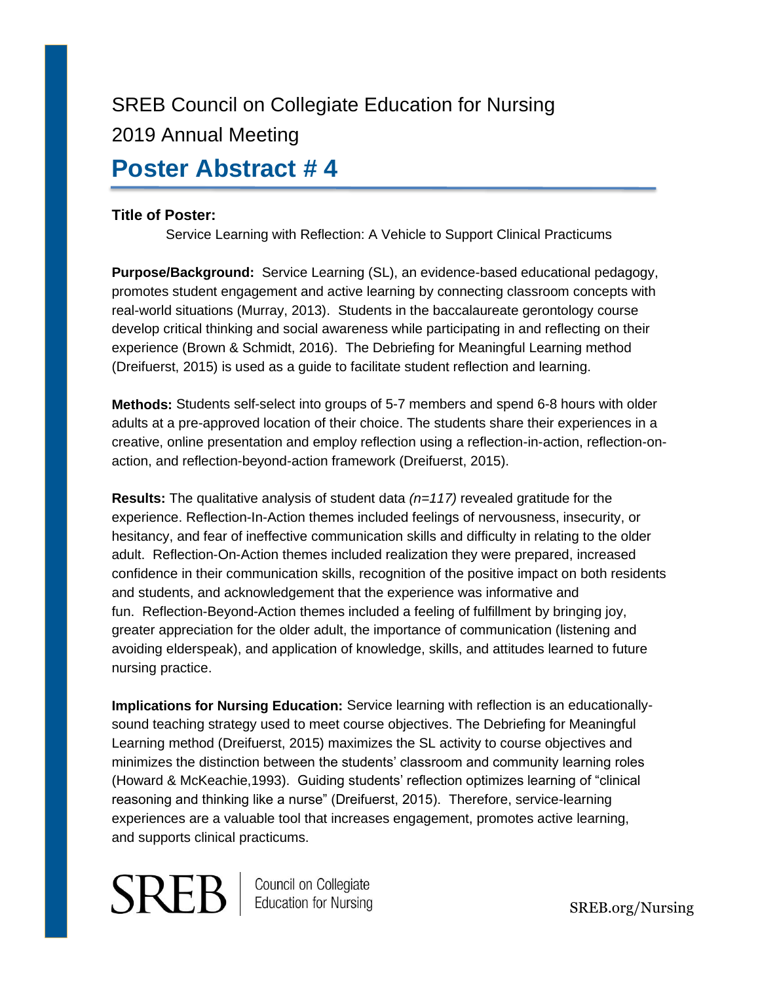## **Poster Abstract # 4**

#### **Title of Poster:**

Service Learning with Reflection: A Vehicle to Support Clinical Practicums

**Purpose/Background:** Service Learning (SL), an evidence-based educational pedagogy, promotes student engagement and active learning by connecting classroom concepts with real-world situations (Murray, 2013). Students in the baccalaureate gerontology course develop critical thinking and social awareness while participating in and reflecting on their experience (Brown & Schmidt, 2016). The Debriefing for Meaningful Learning method (Dreifuerst, 2015) is used as a guide to facilitate student reflection and learning.

**Methods:** Students self-select into groups of 5-7 members and spend 6-8 hours with older adults at a pre-approved location of their choice. The students share their experiences in a creative, online presentation and employ reflection using a reflection-in-action, reflection-onaction, and reflection-beyond-action framework (Dreifuerst, 2015).

**Results:** The qualitative analysis of student data *(n=117)* revealed gratitude for the experience. Reflection-In-Action themes included feelings of nervousness, insecurity, or hesitancy, and fear of ineffective communication skills and difficulty in relating to the older adult. Reflection-On-Action themes included realization they were prepared, increased confidence in their communication skills, recognition of the positive impact on both residents and students, and acknowledgement that the experience was informative and fun. Reflection-Beyond-Action themes included a feeling of fulfillment by bringing joy, greater appreciation for the older adult, the importance of communication (listening and avoiding elderspeak), and application of knowledge, skills, and attitudes learned to future nursing practice.

**Implications for Nursing Education:** Service learning with reflection is an educationallysound teaching strategy used to meet course objectives. The Debriefing for Meaningful Learning method (Dreifuerst, 2015) maximizes the SL activity to course objectives and minimizes the distinction between the students' classroom and community learning roles (Howard & McKeachie,1993). Guiding students' reflection optimizes learning of "clinical reasoning and thinking like a nurse" (Dreifuerst, 2015). Therefore, service-learning experiences are a valuable tool that increases engagement, promotes active learning, and supports clinical practicums.

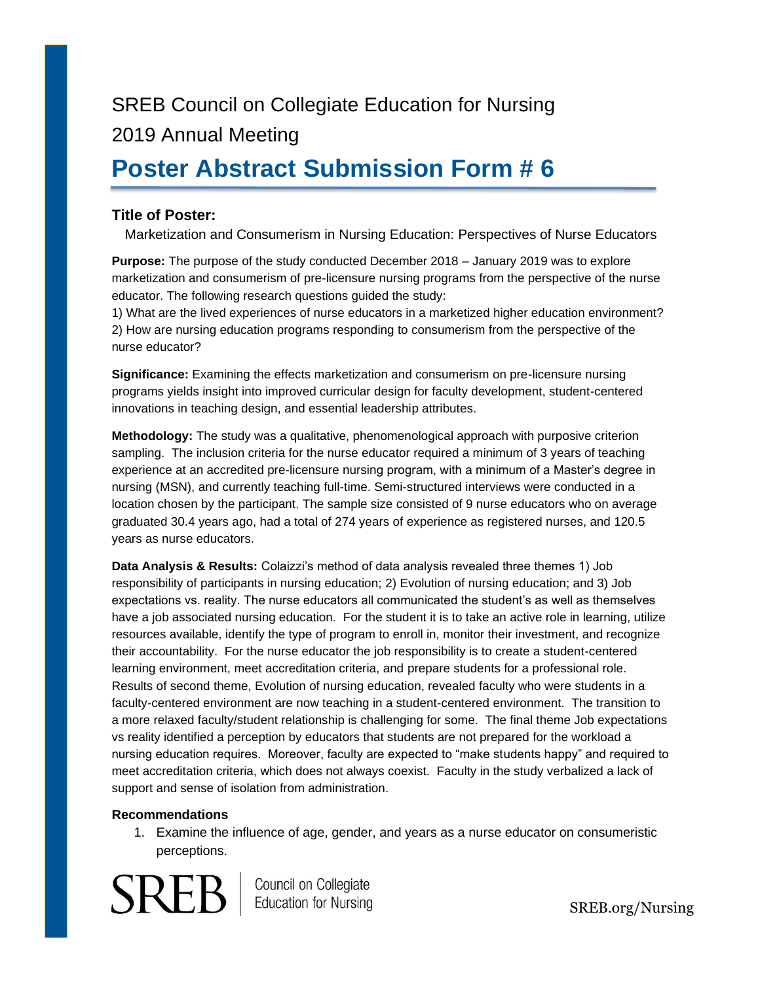## **Poster Abstract Submission Form # 6**

#### **Title of Poster:**

Marketization and Consumerism in Nursing Education: Perspectives of Nurse Educators

**Purpose:** The purpose of the study conducted December 2018 – January 2019 was to explore marketization and consumerism of pre-licensure nursing programs from the perspective of the nurse educator. The following research questions guided the study:

1) What are the lived experiences of nurse educators in a marketized higher education environment? 2) How are nursing education programs responding to consumerism from the perspective of the nurse educator?

**Significance:** Examining the effects marketization and consumerism on pre-licensure nursing programs yields insight into improved curricular design for faculty development, student-centered innovations in teaching design, and essential leadership attributes.

**Methodology:** The study was a qualitative, phenomenological approach with purposive criterion sampling. The inclusion criteria for the nurse educator required a minimum of 3 years of teaching experience at an accredited pre-licensure nursing program, with a minimum of a Master's degree in nursing (MSN), and currently teaching full-time. Semi-structured interviews were conducted in a location chosen by the participant. The sample size consisted of 9 nurse educators who on average graduated 30.4 years ago, had a total of 274 years of experience as registered nurses, and 120.5 years as nurse educators.

**Data Analysis & Results:** Colaizzi's method of data analysis revealed three themes 1) Job responsibility of participants in nursing education; 2) Evolution of nursing education; and 3) Job expectations vs. reality. The nurse educators all communicated the student's as well as themselves have a job associated nursing education. For the student it is to take an active role in learning, utilize resources available, identify the type of program to enroll in, monitor their investment, and recognize their accountability. For the nurse educator the job responsibility is to create a student-centered learning environment, meet accreditation criteria, and prepare students for a professional role. Results of second theme, Evolution of nursing education, revealed faculty who were students in a faculty-centered environment are now teaching in a student-centered environment. The transition to a more relaxed faculty/student relationship is challenging for some. The final theme Job expectations vs reality identified a perception by educators that students are not prepared for the workload a nursing education requires. Moreover, faculty are expected to "make students happy" and required to meet accreditation criteria, which does not always coexist. Faculty in the study verbalized a lack of support and sense of isolation from administration.

#### **Recommendations**

1. Examine the influence of age, gender, and years as a nurse educator on consumeristic perceptions.



Council on Collegiate<br>Education for Nursing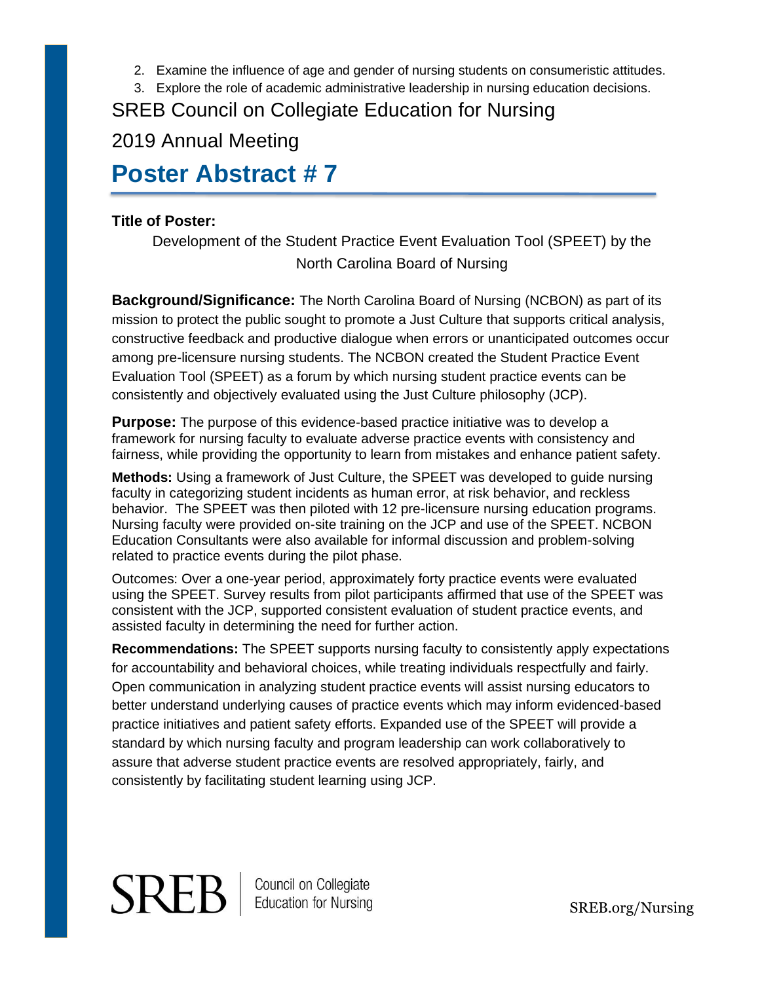- 2. Examine the influence of age and gender of nursing students on consumeristic attitudes.
- 3. Explore the role of academic administrative leadership in nursing education decisions.

### 2019 Annual Meeting

## **Poster Abstract # 7**

#### **Title of Poster:**

Development of the Student Practice Event Evaluation Tool (SPEET) by the North Carolina Board of Nursing

**Background/Significance:** The North Carolina Board of Nursing (NCBON) as part of its mission to protect the public sought to promote a Just Culture that supports critical analysis, constructive feedback and productive dialogue when errors or unanticipated outcomes occur among pre-licensure nursing students. The NCBON created the Student Practice Event Evaluation Tool (SPEET) as a forum by which nursing student practice events can be consistently and objectively evaluated using the Just Culture philosophy (JCP).

**Purpose:** The purpose of this evidence-based practice initiative was to develop a framework for nursing faculty to evaluate adverse practice events with consistency and fairness, while providing the opportunity to learn from mistakes and enhance patient safety.

**Methods:** Using a framework of Just Culture, the SPEET was developed to guide nursing faculty in categorizing student incidents as human error, at risk behavior, and reckless behavior. The SPEET was then piloted with 12 pre-licensure nursing education programs. Nursing faculty were provided on-site training on the JCP and use of the SPEET. NCBON Education Consultants were also available for informal discussion and problem-solving related to practice events during the pilot phase.

Outcomes: Over a one-year period, approximately forty practice events were evaluated using the SPEET. Survey results from pilot participants affirmed that use of the SPEET was consistent with the JCP, supported consistent evaluation of student practice events, and assisted faculty in determining the need for further action.

**Recommendations:** The SPEET supports nursing faculty to consistently apply expectations for accountability and behavioral choices, while treating individuals respectfully and fairly. Open communication in analyzing student practice events will assist nursing educators to better understand underlying causes of practice events which may inform evidenced-based practice initiatives and patient safety efforts. Expanded use of the SPEET will provide a standard by which nursing faculty and program leadership can work collaboratively to assure that adverse student practice events are resolved appropriately, fairly, and consistently by facilitating student learning using JCP.

# **SREB**

Council on Collegiate<br>Education for Nursing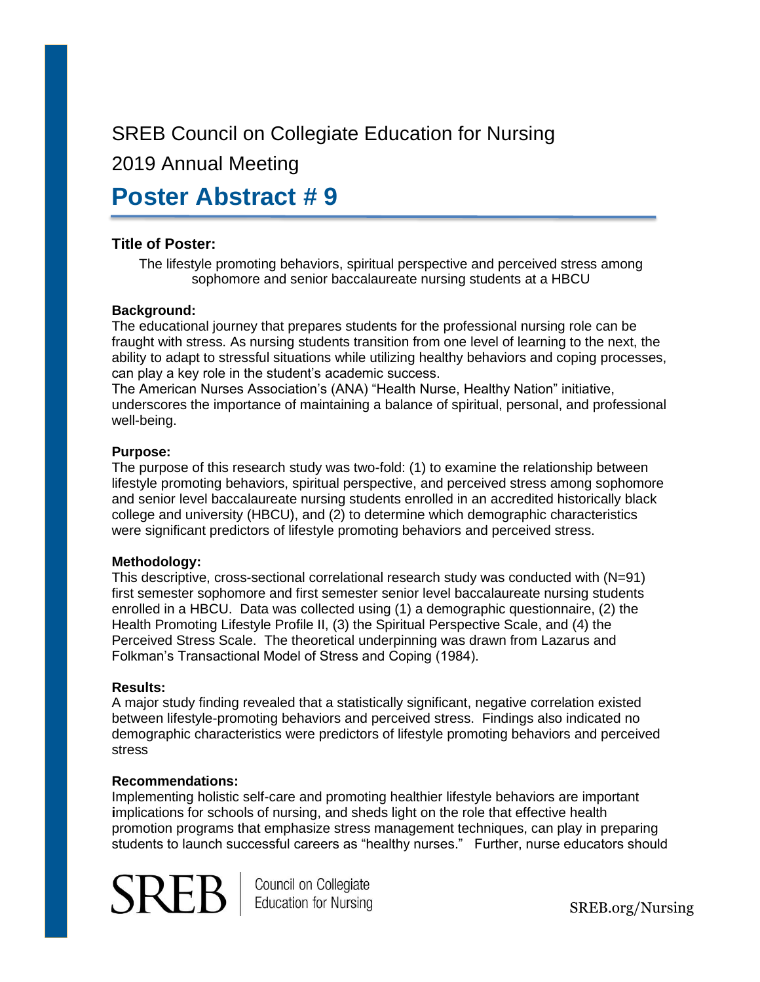### 2019 Annual Meeting

## **Poster Abstract # 9**

#### **Title of Poster:**

The lifestyle promoting behaviors, spiritual perspective and perceived stress among sophomore and senior baccalaureate nursing students at a HBCU

#### **Background:**

The educational journey that prepares students for the professional nursing role can be fraught with stress. As nursing students transition from one level of learning to the next, the ability to adapt to stressful situations while utilizing healthy behaviors and coping processes, can play a key role in the student's academic success.

The American Nurses Association's (ANA) "Health Nurse, Healthy Nation" initiative, underscores the importance of maintaining a balance of spiritual, personal, and professional well-being.

#### **Purpose:**

The purpose of this research study was two-fold: (1) to examine the relationship between lifestyle promoting behaviors, spiritual perspective, and perceived stress among sophomore and senior level baccalaureate nursing students enrolled in an accredited historically black college and university (HBCU), and (2) to determine which demographic characteristics were significant predictors of lifestyle promoting behaviors and perceived stress.

#### **Methodology:**

This descriptive, cross-sectional correlational research study was conducted with (N=91) first semester sophomore and first semester senior level baccalaureate nursing students enrolled in a HBCU. Data was collected using (1) a demographic questionnaire, (2) the Health Promoting Lifestyle Profile II, (3) the Spiritual Perspective Scale, and (4) the Perceived Stress Scale. The theoretical underpinning was drawn from Lazarus and Folkman's Transactional Model of Stress and Coping (1984).

#### **Results:**

A major study finding revealed that a statistically significant, negative correlation existed between lifestyle-promoting behaviors and perceived stress. Findings also indicated no demographic characteristics were predictors of lifestyle promoting behaviors and perceived stress

#### **Recommendations:**

Implementing holistic self-care and promoting healthier lifestyle behaviors are important **i**mplications for schools of nursing, and sheds light on the role that effective health promotion programs that emphasize stress management techniques, can play in preparing students to launch successful careers as "healthy nurses." Further, nurse educators should



Council on Collegiate **Education for Nursing**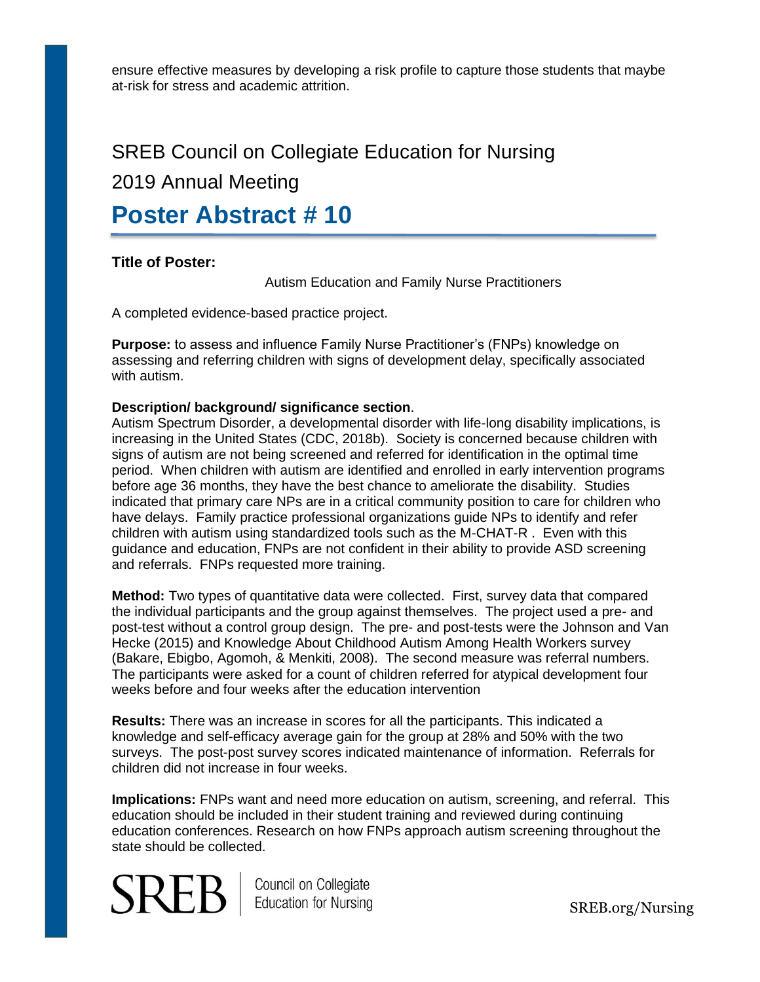ensure effective measures by developing a risk profile to capture those students that maybe at-risk for stress and academic attrition.

### SREB Council on Collegiate Education for Nursing

### 2019 Annual Meeting

## **Poster Abstract # 10**

#### **Title of Poster:**

Autism Education and Family Nurse Practitioners

A completed evidence-based practice project.

**Purpose:** to assess and influence Family Nurse Practitioner's (FNPs) knowledge on assessing and referring children with signs of development delay, specifically associated with autism.

#### **Description/ background/ significance section**.

Autism Spectrum Disorder, a developmental disorder with life-long disability implications, is increasing in the United States (CDC, 2018b). Society is concerned because children with signs of autism are not being screened and referred for identification in the optimal time period. When children with autism are identified and enrolled in early intervention programs before age 36 months, they have the best chance to ameliorate the disability. Studies indicated that primary care NPs are in a critical community position to care for children who have delays. Family practice professional organizations guide NPs to identify and refer children with autism using standardized tools such as the M-CHAT-R . Even with this guidance and education, FNPs are not confident in their ability to provide ASD screening and referrals. FNPs requested more training.

**Method:** Two types of quantitative data were collected. First, survey data that compared the individual participants and the group against themselves. The project used a pre- and post-test without a control group design. The pre- and post-tests were the Johnson and Van Hecke (2015) and Knowledge About Childhood Autism Among Health Workers survey (Bakare, Ebigbo, Agomoh, & Menkiti, 2008). The second measure was referral numbers. The participants were asked for a count of children referred for atypical development four weeks before and four weeks after the education intervention

**Results:** There was an increase in scores for all the participants. This indicated a knowledge and self-efficacy average gain for the group at 28% and 50% with the two surveys. The post-post survey scores indicated maintenance of information. Referrals for children did not increase in four weeks.

**Implications:** FNPs want and need more education on autism, screening, and referral. This education should be included in their student training and reviewed during continuing education conferences. Research on how FNPs approach autism screening throughout the state should be collected.



Council on Collegiate Education for Nursing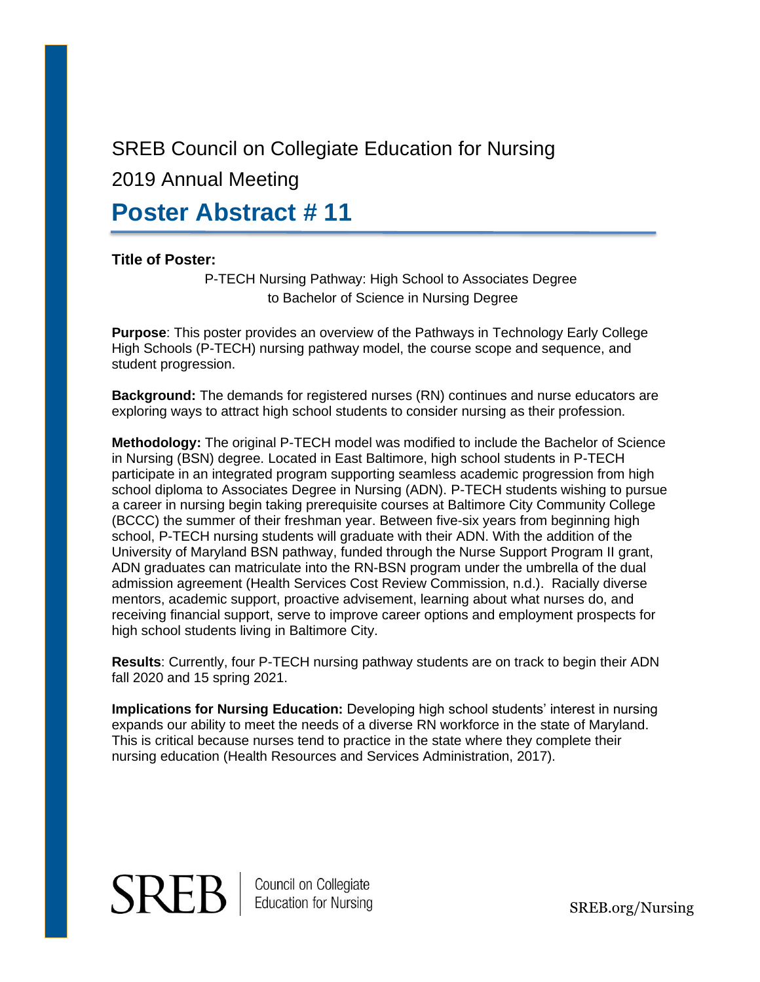2019 Annual Meeting

## **Poster Abstract # 11**

#### **Title of Poster:**

P-TECH Nursing Pathway: High School to Associates Degree to Bachelor of Science in Nursing Degree

**Purpose**: This poster provides an overview of the Pathways in Technology Early College High Schools (P-TECH) nursing pathway model, the course scope and sequence, and student progression.

**Background:** The demands for registered nurses (RN) continues and nurse educators are exploring ways to attract high school students to consider nursing as their profession.

**Methodology:** The original P-TECH model was modified to include the Bachelor of Science in Nursing (BSN) degree. Located in East Baltimore, high school students in P-TECH participate in an integrated program supporting seamless academic progression from high school diploma to Associates Degree in Nursing (ADN). P-TECH students wishing to pursue a career in nursing begin taking prerequisite courses at Baltimore City Community College (BCCC) the summer of their freshman year. Between five-six years from beginning high school, P-TECH nursing students will graduate with their ADN. With the addition of the University of Maryland BSN pathway, funded through the Nurse Support Program II grant, ADN graduates can matriculate into the RN-BSN program under the umbrella of the dual admission agreement (Health Services Cost Review Commission, n.d.). Racially diverse mentors, academic support, proactive advisement, learning about what nurses do, and receiving financial support, serve to improve career options and employment prospects for high school students living in Baltimore City.

**Results**: Currently, four P-TECH nursing pathway students are on track to begin their ADN fall 2020 and 15 spring 2021.

**Implications for Nursing Education:** Developing high school students' interest in nursing expands our ability to meet the needs of a diverse RN workforce in the state of Maryland. This is critical because nurses tend to practice in the state where they complete their nursing education (Health Resources and Services Administration, 2017).

# **SREB** | Council on Collegiate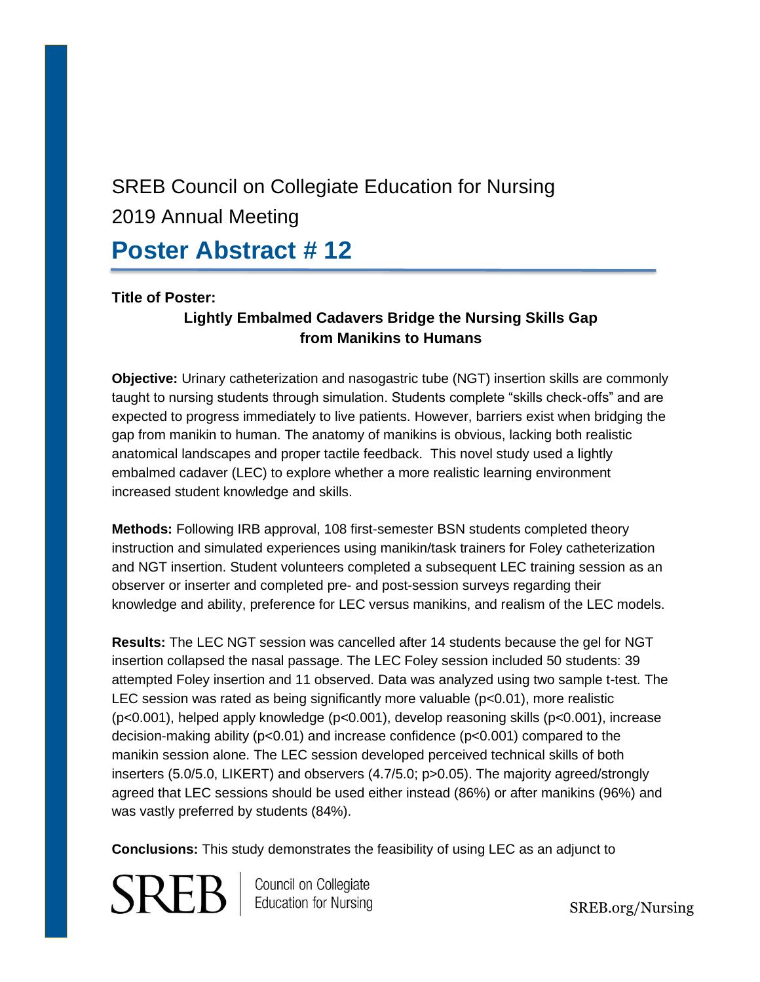## SREB Council on Collegiate Education for Nursing 2019 Annual Meeting **Poster Abstract # 12**

#### **Title of Poster:**

#### **Lightly Embalmed Cadavers Bridge the Nursing Skills Gap from Manikins to Humans**

**Objective:** Urinary catheterization and nasogastric tube (NGT) insertion skills are commonly taught to nursing students through simulation. Students complete "skills check-offs" and are expected to progress immediately to live patients. However, barriers exist when bridging the gap from manikin to human. The anatomy of manikins is obvious, lacking both realistic anatomical landscapes and proper tactile feedback. This novel study used a lightly embalmed cadaver (LEC) to explore whether a more realistic learning environment increased student knowledge and skills.

**Methods:** Following IRB approval, 108 first-semester BSN students completed theory instruction and simulated experiences using manikin/task trainers for Foley catheterization and NGT insertion. Student volunteers completed a subsequent LEC training session as an observer or inserter and completed pre- and post-session surveys regarding their knowledge and ability, preference for LEC versus manikins, and realism of the LEC models.

**Results:** The LEC NGT session was cancelled after 14 students because the gel for NGT insertion collapsed the nasal passage. The LEC Foley session included 50 students: 39 attempted Foley insertion and 11 observed. Data was analyzed using two sample t-test. The LEC session was rated as being significantly more valuable  $(p<0.01)$ , more realistic (p<0.001), helped apply knowledge (p<0.001), develop reasoning skills (p<0.001), increase decision-making ability (p<0.01) and increase confidence (p<0.001) compared to the manikin session alone. The LEC session developed perceived technical skills of both inserters (5.0/5.0, LIKERT) and observers (4.7/5.0; p>0.05). The majority agreed/strongly agreed that LEC sessions should be used either instead (86%) or after manikins (96%) and was vastly preferred by students (84%).

**Conclusions:** This study demonstrates the feasibility of using LEC as an adjunct to

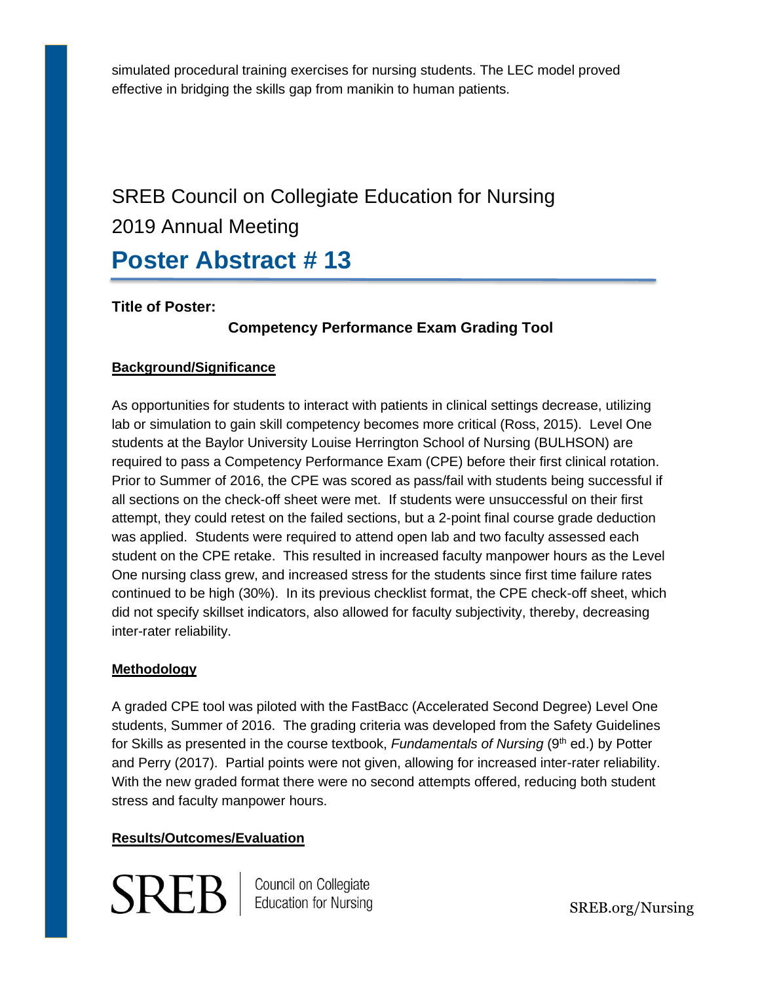simulated procedural training exercises for nursing students. The LEC model proved effective in bridging the skills gap from manikin to human patients.

## SREB Council on Collegiate Education for Nursing 2019 Annual Meeting **Poster Abstract # 13**

**Title of Poster:** 

#### **Competency Performance Exam Grading Tool**

#### **Background/Significance**

As opportunities for students to interact with patients in clinical settings decrease, utilizing lab or simulation to gain skill competency becomes more critical (Ross, 2015). Level One students at the Baylor University Louise Herrington School of Nursing (BULHSON) are required to pass a Competency Performance Exam (CPE) before their first clinical rotation. Prior to Summer of 2016, the CPE was scored as pass/fail with students being successful if all sections on the check-off sheet were met. If students were unsuccessful on their first attempt, they could retest on the failed sections, but a 2-point final course grade deduction was applied. Students were required to attend open lab and two faculty assessed each student on the CPE retake. This resulted in increased faculty manpower hours as the Level One nursing class grew, and increased stress for the students since first time failure rates continued to be high (30%). In its previous checklist format, the CPE check-off sheet, which did not specify skillset indicators, also allowed for faculty subjectivity, thereby, decreasing inter-rater reliability.

#### **Methodology**

A graded CPE tool was piloted with the FastBacc (Accelerated Second Degree) Level One students, Summer of 2016. The grading criteria was developed from the Safety Guidelines for Skills as presented in the course textbook, *Fundamentals of Nursing* (9<sup>th</sup> ed.) by Potter and Perry (2017). Partial points were not given, allowing for increased inter-rater reliability. With the new graded format there were no second attempts offered, reducing both student stress and faculty manpower hours.

#### **Results/Outcomes/Evaluation**

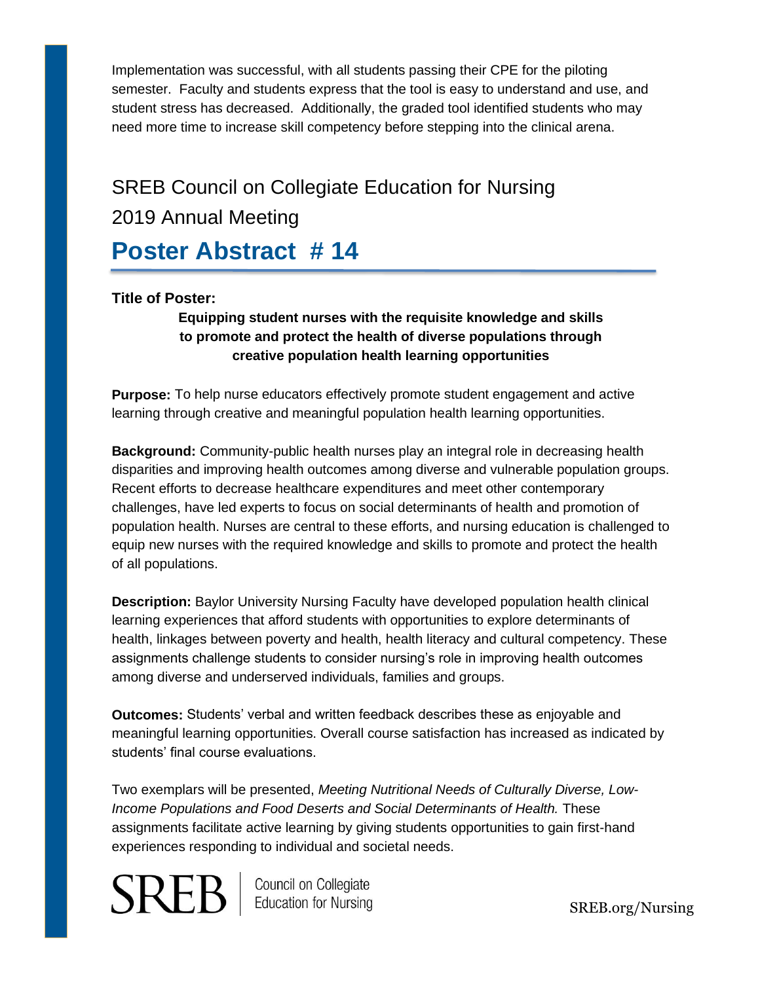Implementation was successful, with all students passing their CPE for the piloting semester. Faculty and students express that the tool is easy to understand and use, and student stress has decreased. Additionally, the graded tool identified students who may need more time to increase skill competency before stepping into the clinical arena.

# SREB Council on Collegiate Education for Nursing 2019 Annual Meeting

## **Poster Abstract # 14**

#### **Title of Poster:**

#### **Equipping student nurses with the requisite knowledge and skills to promote and protect the health of diverse populations through creative population health learning opportunities**

**Purpose:** To help nurse educators effectively promote student engagement and active learning through creative and meaningful population health learning opportunities.

**Background:** Community-public health nurses play an integral role in decreasing health disparities and improving health outcomes among diverse and vulnerable population groups. Recent efforts to decrease healthcare expenditures and meet other contemporary challenges, have led experts to focus on social determinants of health and promotion of population health. Nurses are central to these efforts, and nursing education is challenged to equip new nurses with the required knowledge and skills to promote and protect the health of all populations.

**Description:** Baylor University Nursing Faculty have developed population health clinical learning experiences that afford students with opportunities to explore determinants of health, linkages between poverty and health, health literacy and cultural competency. These assignments challenge students to consider nursing's role in improving health outcomes among diverse and underserved individuals, families and groups.

**Outcomes:** Students' verbal and written feedback describes these as enjoyable and meaningful learning opportunities. Overall course satisfaction has increased as indicated by students' final course evaluations.

Two exemplars will be presented, *Meeting Nutritional Needs of Culturally Diverse, Low-Income Populations and Food Deserts and Social Determinants of Health.* These assignments facilitate active learning by giving students opportunities to gain first-hand experiences responding to individual and societal needs.

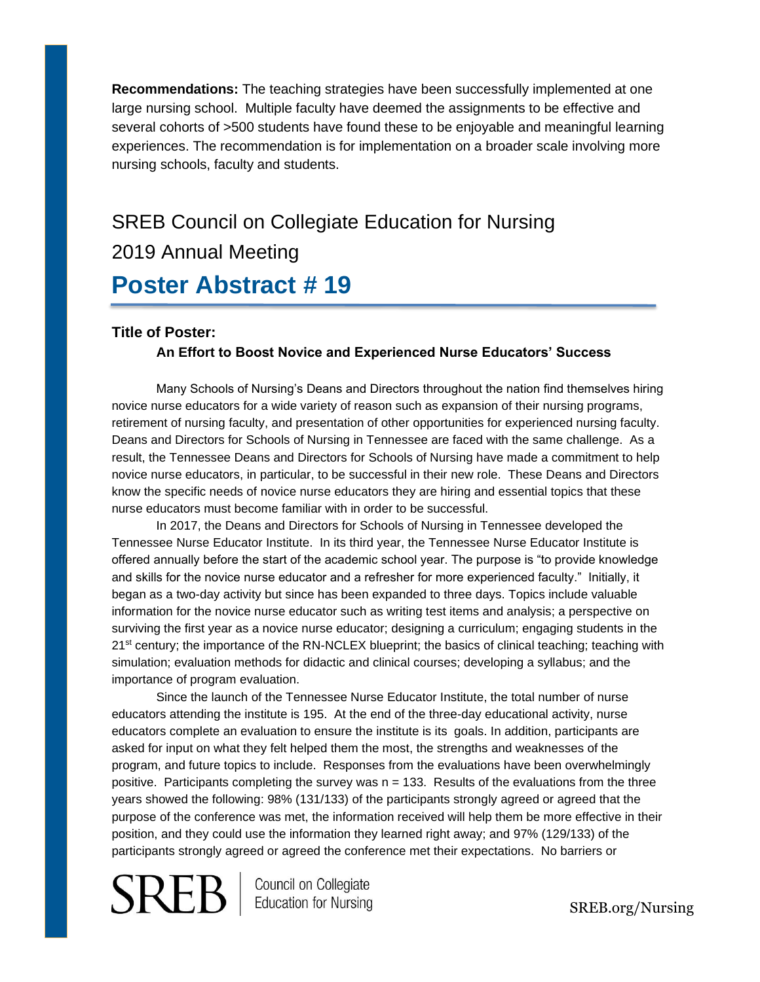**Recommendations:** The teaching strategies have been successfully implemented at one large nursing school. Multiple faculty have deemed the assignments to be effective and several cohorts of >500 students have found these to be enjoyable and meaningful learning experiences. The recommendation is for implementation on a broader scale involving more nursing schools, faculty and students.

# SREB Council on Collegiate Education for Nursing 2019 Annual Meeting

## **Poster Abstract # 19**

#### **Title of Poster:**

#### **An Effort to Boost Novice and Experienced Nurse Educators' Success**

Many Schools of Nursing's Deans and Directors throughout the nation find themselves hiring novice nurse educators for a wide variety of reason such as expansion of their nursing programs, retirement of nursing faculty, and presentation of other opportunities for experienced nursing faculty. Deans and Directors for Schools of Nursing in Tennessee are faced with the same challenge. As a result, the Tennessee Deans and Directors for Schools of Nursing have made a commitment to help novice nurse educators, in particular, to be successful in their new role. These Deans and Directors know the specific needs of novice nurse educators they are hiring and essential topics that these nurse educators must become familiar with in order to be successful.

In 2017, the Deans and Directors for Schools of Nursing in Tennessee developed the Tennessee Nurse Educator Institute. In its third year, the Tennessee Nurse Educator Institute is offered annually before the start of the academic school year. The purpose is "to provide knowledge and skills for the novice nurse educator and a refresher for more experienced faculty." Initially, it began as a two-day activity but since has been expanded to three days. Topics include valuable information for the novice nurse educator such as writing test items and analysis; a perspective on surviving the first year as a novice nurse educator; designing a curriculum; engaging students in the 21<sup>st</sup> century; the importance of the RN-NCLEX blueprint; the basics of clinical teaching; teaching with simulation; evaluation methods for didactic and clinical courses; developing a syllabus; and the importance of program evaluation.

Since the launch of the Tennessee Nurse Educator Institute, the total number of nurse educators attending the institute is 195. At the end of the three-day educational activity, nurse educators complete an evaluation to ensure the institute is its goals. In addition, participants are asked for input on what they felt helped them the most, the strengths and weaknesses of the program, and future topics to include. Responses from the evaluations have been overwhelmingly positive. Participants completing the survey was  $n = 133$ . Results of the evaluations from the three years showed the following: 98% (131/133) of the participants strongly agreed or agreed that the purpose of the conference was met, the information received will help them be more effective in their position, and they could use the information they learned right away; and 97% (129/133) of the participants strongly agreed or agreed the conference met their expectations. No barriers or

 ${\rm SRB}$   $\mid$  Council on Collegiate